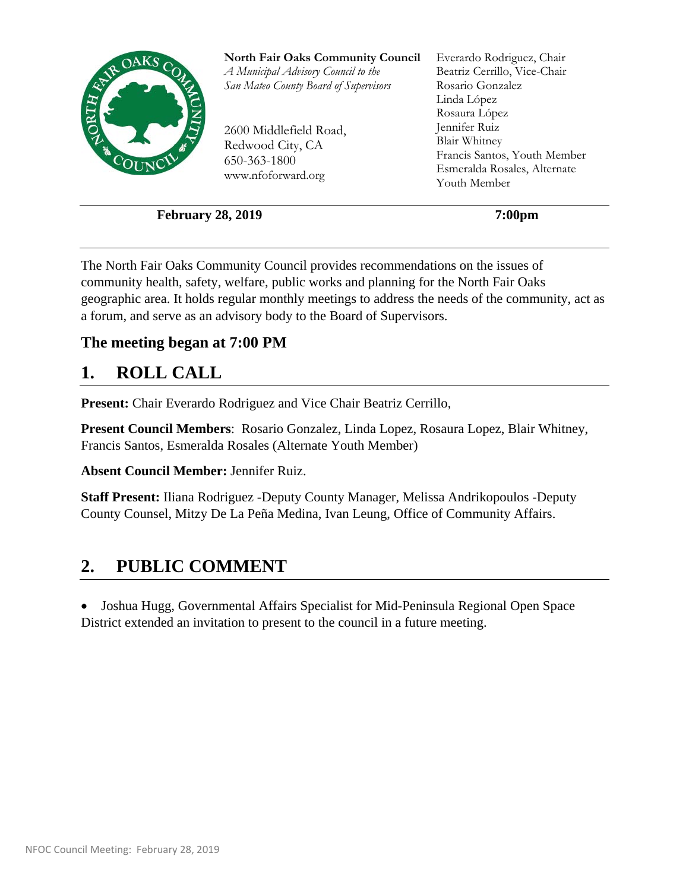

**February 28, 2019** 7:00pm

The North Fair Oaks Community Council provides recommendations on the issues of community health, safety, welfare, public works and planning for the North Fair Oaks geographic area. It holds regular monthly meetings to address the needs of the community, act as a forum, and serve as an advisory body to the Board of Supervisors.

#### **The meeting began at 7:00 PM**

## **1. ROLL CALL**

**Present:** Chair Everardo Rodriguez and Vice Chair Beatriz Cerrillo,

**Present Council Members**: Rosario Gonzalez, Linda Lopez, Rosaura Lopez, Blair Whitney, Francis Santos, Esmeralda Rosales (Alternate Youth Member)

**Absent Council Member:** Jennifer Ruiz.

**Staff Present:** Iliana Rodriguez -Deputy County Manager, Melissa Andrikopoulos -Deputy County Counsel, Mitzy De La Peña Medina, Ivan Leung, Office of Community Affairs.

## **2. PUBLIC COMMENT**

 Joshua Hugg, Governmental Affairs Specialist for Mid-Peninsula Regional Open Space District extended an invitation to present to the council in a future meeting.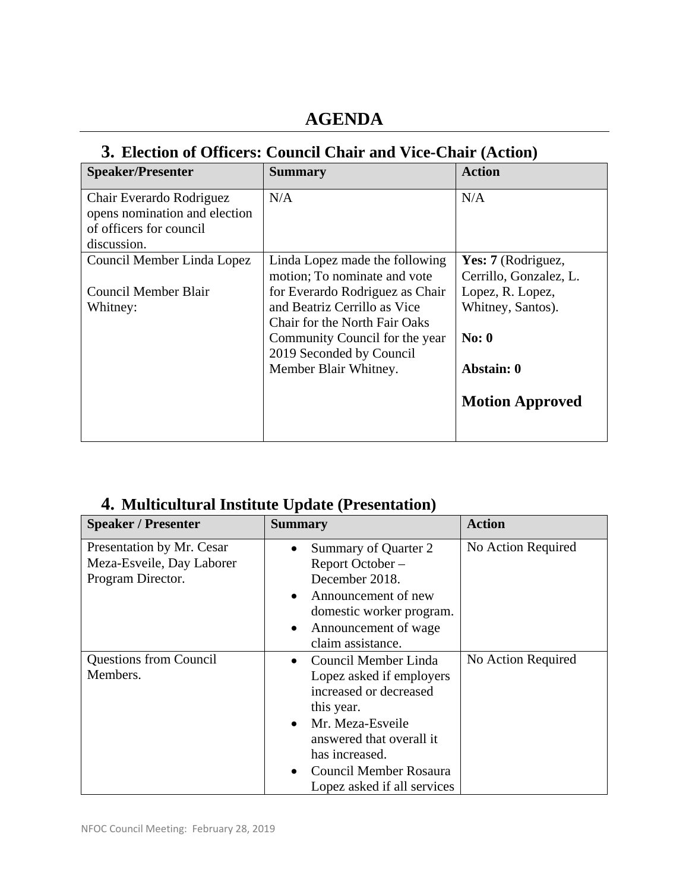## **AGENDA**

#### **3. Election of Officers: Council Chair and Vice-Chair (Action)**

| <b>Speaker/Presenter</b>      | <b>Summary</b>                       | <b>Action</b>          |
|-------------------------------|--------------------------------------|------------------------|
| Chair Everardo Rodriguez      | N/A                                  | N/A                    |
| opens nomination and election |                                      |                        |
| of officers for council       |                                      |                        |
| discussion.                   |                                      |                        |
| Council Member Linda Lopez    | Linda Lopez made the following       | Yes: 7 (Rodriguez,     |
|                               | motion; To nominate and vote         | Cerrillo, Gonzalez, L. |
| Council Member Blair          | for Everardo Rodriguez as Chair      | Lopez, R. Lopez,       |
| Whitney:                      | and Beatriz Cerrillo as Vice         | Whitney, Santos).      |
|                               | <b>Chair for the North Fair Oaks</b> |                        |
|                               | Community Council for the year       | No: 0                  |
|                               | 2019 Seconded by Council             |                        |
|                               | Member Blair Whitney.                | Abstain: 0             |
|                               |                                      | <b>Motion Approved</b> |

## **4. Multicultural Institute Update (Presentation)**

| <b>Speaker / Presenter</b>                                                  | <b>Summary</b>                                                                                                                                                                                                                                             | <b>Action</b>      |
|-----------------------------------------------------------------------------|------------------------------------------------------------------------------------------------------------------------------------------------------------------------------------------------------------------------------------------------------------|--------------------|
| Presentation by Mr. Cesar<br>Meza-Esveile, Day Laborer<br>Program Director. | Summary of Quarter 2<br>$\bullet$<br>Report October-<br>December 2018.<br>Announcement of new<br>$\bullet$<br>domestic worker program.<br>Announcement of wage<br>$\bullet$<br>claim assistance.                                                           | No Action Required |
| <b>Questions from Council</b><br>Members.                                   | Council Member Linda<br>$\bullet$<br>Lopez asked if employers<br>increased or decreased<br>this year.<br>Mr. Meza-Esveile<br>$\bullet$<br>answered that overall it<br>has increased.<br>Council Member Rosaura<br>$\bullet$<br>Lopez asked if all services | No Action Required |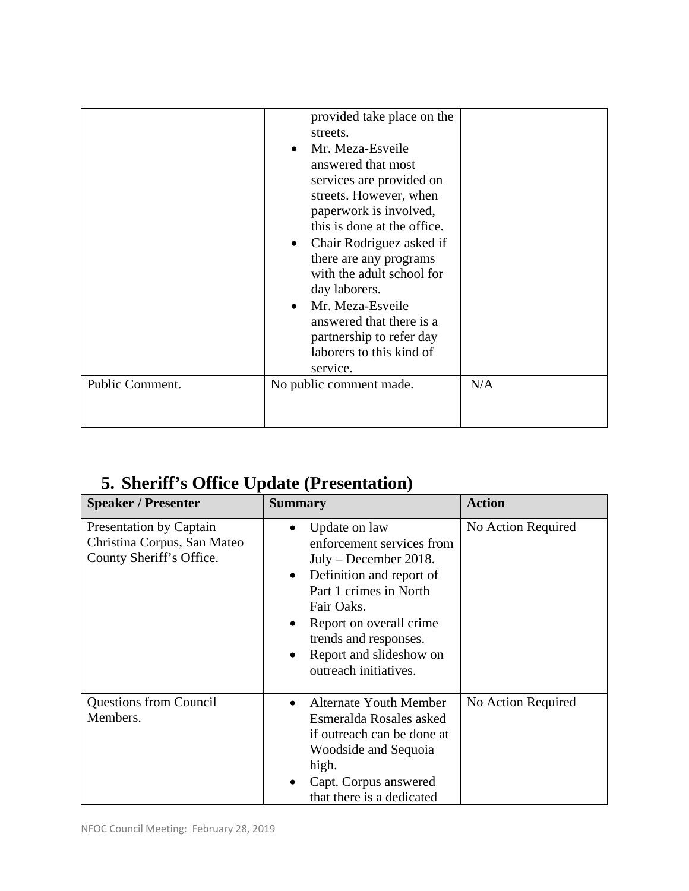| Public Comment. | provided take place on the<br>streets.<br>Mr. Meza-Esveile<br>answered that most<br>services are provided on<br>streets. However, when<br>paperwork is involved,<br>this is done at the office.<br>Chair Rodriguez asked if<br>there are any programs<br>with the adult school for<br>day laborers.<br>Mr. Meza-Esveile<br>answered that there is a<br>partnership to refer day<br>laborers to this kind of<br>service.<br>No public comment made. | N/A |
|-----------------|----------------------------------------------------------------------------------------------------------------------------------------------------------------------------------------------------------------------------------------------------------------------------------------------------------------------------------------------------------------------------------------------------------------------------------------------------|-----|
|                 |                                                                                                                                                                                                                                                                                                                                                                                                                                                    |     |

# **5. Sheriff's Office Update (Presentation)**

| <b>Speaker / Presenter</b>                                                         | <b>Summary</b>                                                                                                                                                                                                                                                 | <b>Action</b>      |
|------------------------------------------------------------------------------------|----------------------------------------------------------------------------------------------------------------------------------------------------------------------------------------------------------------------------------------------------------------|--------------------|
| Presentation by Captain<br>Christina Corpus, San Mateo<br>County Sheriff's Office. | Update on law<br>enforcement services from<br>$July - December 2018.$<br>Definition and report of<br>$\bullet$<br>Part 1 crimes in North<br>Fair Oaks.<br>Report on overall crime<br>trends and responses.<br>Report and slideshow on<br>outreach initiatives. | No Action Required |
| <b>Questions from Council</b><br>Members.                                          | <b>Alternate Youth Member</b><br>$\bullet$<br>Esmeralda Rosales asked<br>if outreach can be done at<br>Woodside and Sequoia<br>high.<br>Capt. Corpus answered<br>$\bullet$<br>that there is a dedicated                                                        | No Action Required |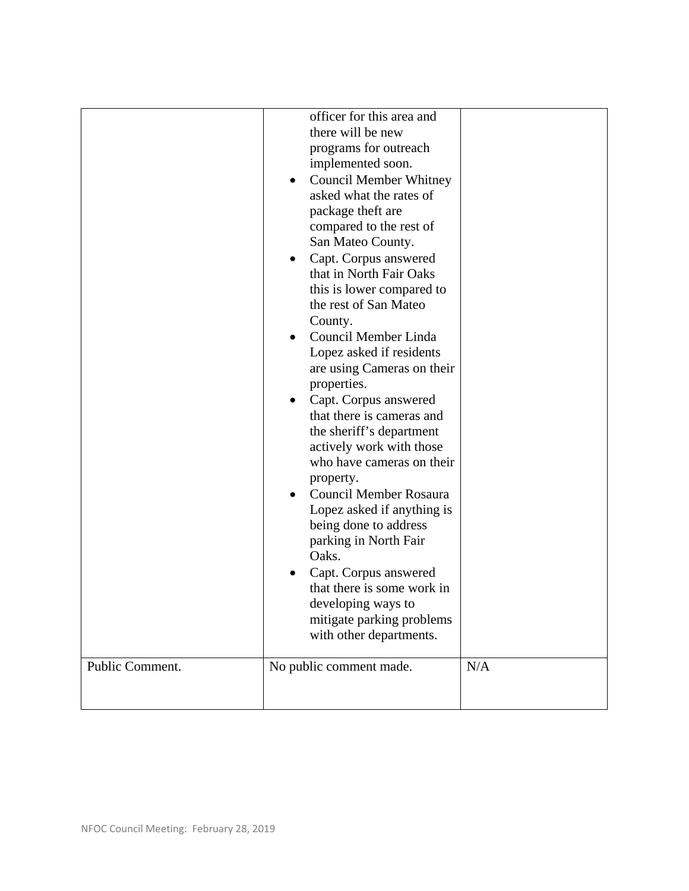| Public Comment. | officer for this area and<br>there will be new<br>programs for outreach<br>implemented soon.<br><b>Council Member Whitney</b><br>asked what the rates of<br>package theft are<br>compared to the rest of<br>San Mateo County.<br>Capt. Corpus answered<br>that in North Fair Oaks<br>this is lower compared to<br>the rest of San Mateo<br>County.<br>Council Member Linda<br>Lopez asked if residents<br>are using Cameras on their<br>properties.<br>Capt. Corpus answered<br>that there is cameras and<br>the sheriff's department<br>actively work with those<br>who have cameras on their<br>property.<br>Council Member Rosaura<br>Lopez asked if anything is<br>being done to address<br>parking in North Fair<br>Oaks.<br>Capt. Corpus answered<br>that there is some work in<br>developing ways to<br>mitigate parking problems<br>with other departments.<br>No public comment made. | N/A |
|-----------------|------------------------------------------------------------------------------------------------------------------------------------------------------------------------------------------------------------------------------------------------------------------------------------------------------------------------------------------------------------------------------------------------------------------------------------------------------------------------------------------------------------------------------------------------------------------------------------------------------------------------------------------------------------------------------------------------------------------------------------------------------------------------------------------------------------------------------------------------------------------------------------------------|-----|
|                 |                                                                                                                                                                                                                                                                                                                                                                                                                                                                                                                                                                                                                                                                                                                                                                                                                                                                                                |     |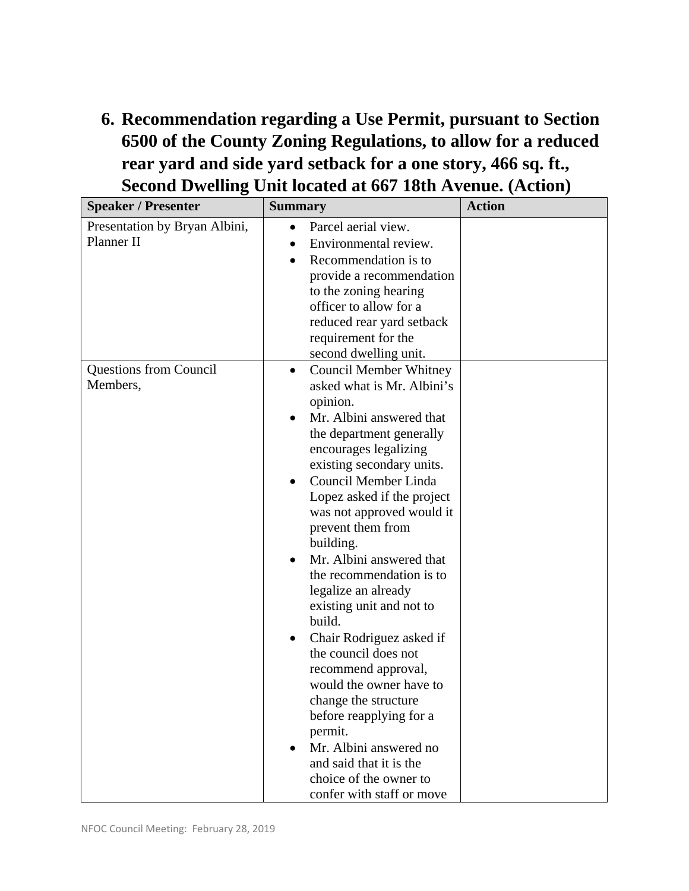**6. Recommendation regarding a Use Permit, pursuant to Section 6500 of the County Zoning Regulations, to allow for a reduced rear yard and side yard setback for a one story, 466 sq. ft., Second Dwelling Unit located at 667 18th Avenue. (Action)** 

| <b>Speaker / Presenter</b>                  | <b>Summary</b>                                                                                                                                                                                                                                                                                                                                                                                                                                                                                                                                                                                                                                                                                                                            | <b>Action</b> |
|---------------------------------------------|-------------------------------------------------------------------------------------------------------------------------------------------------------------------------------------------------------------------------------------------------------------------------------------------------------------------------------------------------------------------------------------------------------------------------------------------------------------------------------------------------------------------------------------------------------------------------------------------------------------------------------------------------------------------------------------------------------------------------------------------|---------------|
| Presentation by Bryan Albini,<br>Planner II | Parcel aerial view.<br>Environmental review.<br>Recommendation is to<br>$\bullet$<br>provide a recommendation<br>to the zoning hearing<br>officer to allow for a<br>reduced rear yard setback<br>requirement for the<br>second dwelling unit.                                                                                                                                                                                                                                                                                                                                                                                                                                                                                             |               |
| <b>Questions from Council</b><br>Members,   | <b>Council Member Whitney</b><br>$\bullet$<br>asked what is Mr. Albini's<br>opinion.<br>Mr. Albini answered that<br>the department generally<br>encourages legalizing<br>existing secondary units.<br>Council Member Linda<br>Lopez asked if the project<br>was not approved would it<br>prevent them from<br>building.<br>Mr. Albini answered that<br>the recommendation is to<br>legalize an already<br>existing unit and not to<br>build.<br>Chair Rodriguez asked if<br>$\bullet$<br>the council does not<br>recommend approval,<br>would the owner have to<br>change the structure<br>before reapplying for a<br>permit.<br>Mr. Albini answered no<br>and said that it is the<br>choice of the owner to<br>confer with staff or move |               |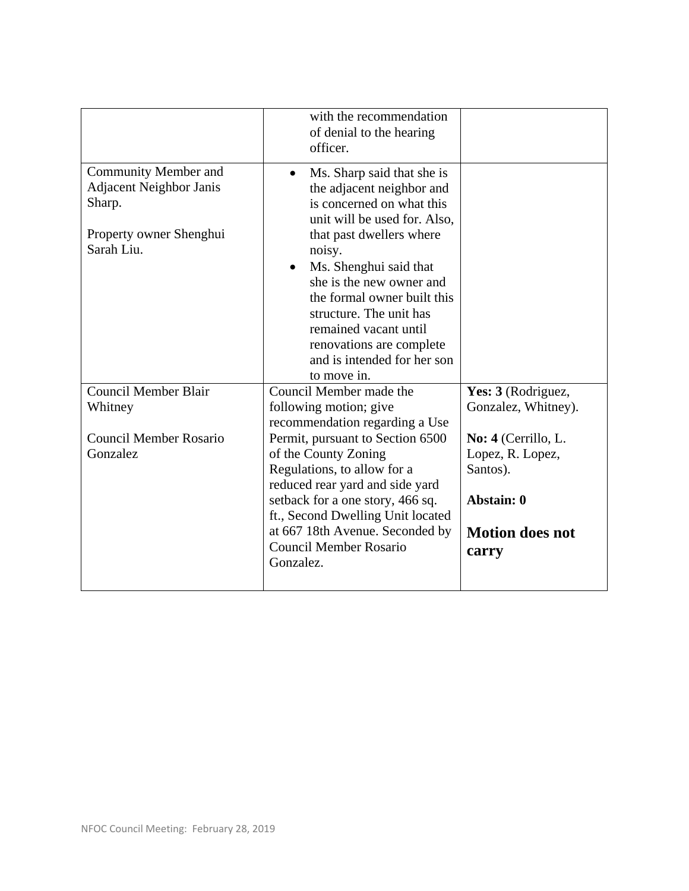|                                                                                                                  | with the recommendation<br>of denial to the hearing<br>officer.                                                                                                                                                                                                                                                                                                                            |                                                                                                                                                   |
|------------------------------------------------------------------------------------------------------------------|--------------------------------------------------------------------------------------------------------------------------------------------------------------------------------------------------------------------------------------------------------------------------------------------------------------------------------------------------------------------------------------------|---------------------------------------------------------------------------------------------------------------------------------------------------|
| <b>Community Member and</b><br><b>Adjacent Neighbor Janis</b><br>Sharp.<br>Property owner Shenghui<br>Sarah Liu. | Ms. Sharp said that she is<br>$\bullet$<br>the adjacent neighbor and<br>is concerned on what this<br>unit will be used for. Also,<br>that past dwellers where<br>noisy.<br>Ms. Shenghui said that<br>she is the new owner and<br>the formal owner built this<br>structure. The unit has<br>remained vacant until<br>renovations are complete<br>and is intended for her son<br>to move in. |                                                                                                                                                   |
| <b>Council Member Blair</b><br>Whitney<br><b>Council Member Rosario</b><br>Gonzalez                              | Council Member made the<br>following motion; give<br>recommendation regarding a Use<br>Permit, pursuant to Section 6500<br>of the County Zoning<br>Regulations, to allow for a<br>reduced rear yard and side yard<br>setback for a one story, 466 sq.<br>ft., Second Dwelling Unit located<br>at 667 18th Avenue. Seconded by<br><b>Council Member Rosario</b><br>Gonzalez.                | Yes: 3 (Rodriguez,<br>Gonzalez, Whitney).<br>No: 4 (Cerrillo, L.<br>Lopez, R. Lopez,<br>Santos).<br>Abstain: 0<br><b>Motion does not</b><br>carry |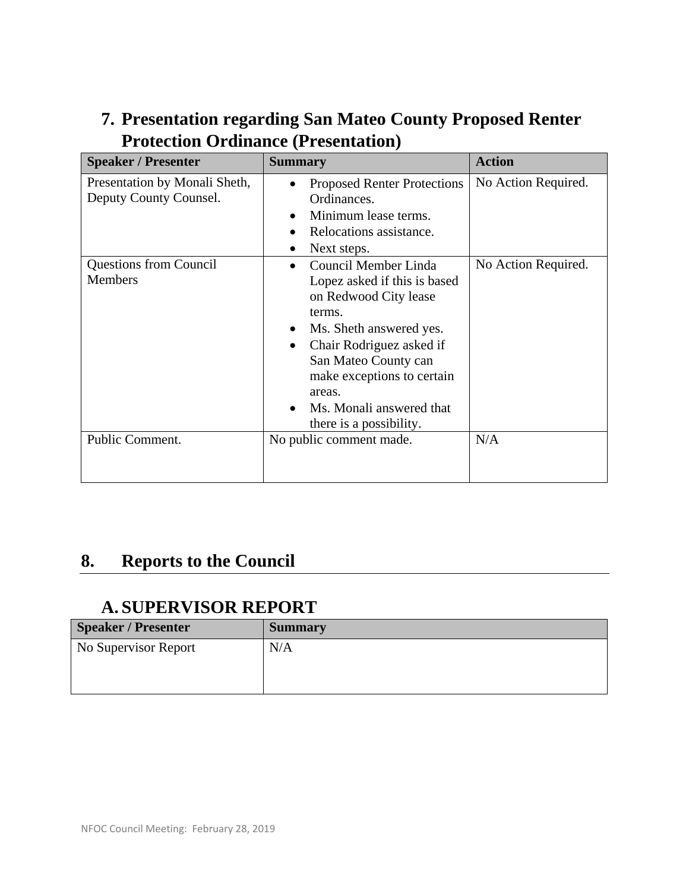| <b>Speaker / Presenter</b>                              | <b>Summary</b>                                                                                                                                                                                                                                                                                       | <b>Action</b>       |
|---------------------------------------------------------|------------------------------------------------------------------------------------------------------------------------------------------------------------------------------------------------------------------------------------------------------------------------------------------------------|---------------------|
| Presentation by Monali Sheth,<br>Deputy County Counsel. | <b>Proposed Renter Protections</b><br>Ordinances.<br>Minimum lease terms.<br>$\bullet$<br>Relocations assistance.<br>Next steps.                                                                                                                                                                     | No Action Required. |
| <b>Questions from Council</b><br><b>Members</b>         | Council Member Linda<br>$\bullet$<br>Lopez asked if this is based<br>on Redwood City lease<br>terms.<br>Ms. Sheth answered yes.<br>٠<br>Chair Rodriguez asked if<br>$\bullet$<br>San Mateo County can<br>make exceptions to certain<br>areas.<br>Ms. Monali answered that<br>there is a possibility. | No Action Required. |
| Public Comment.                                         | No public comment made.                                                                                                                                                                                                                                                                              | N/A                 |

## **7. Presentation regarding San Mateo County Proposed Renter Protection Ordinance (Presentation)**

## **8. Reports to the Council**

#### **A. SUPERVISOR REPORT**

| <b>Speaker / Presenter</b> | <b>Summary</b> |
|----------------------------|----------------|
| No Supervisor Report       | N/A            |
|                            |                |
|                            |                |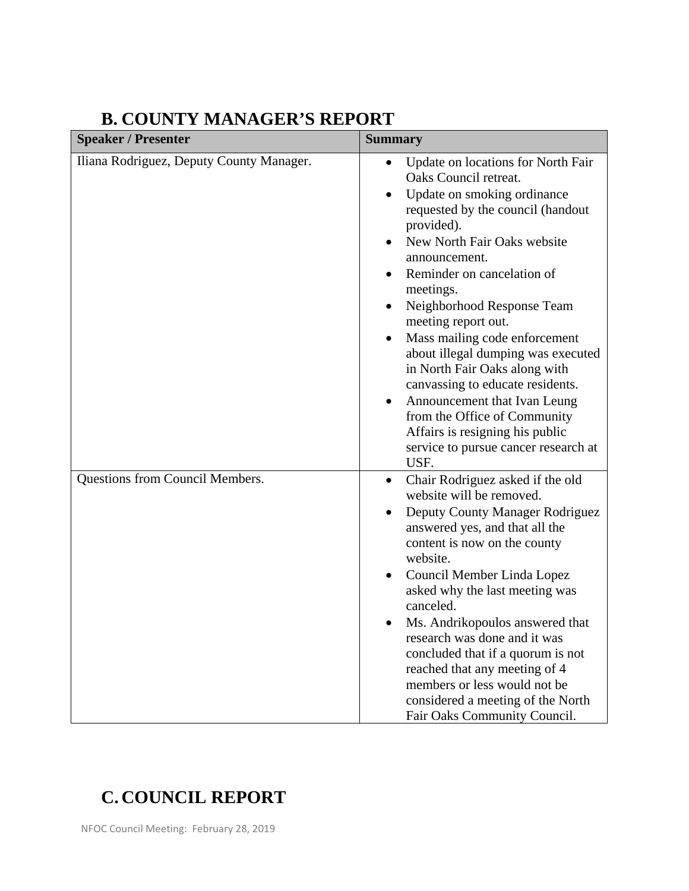| <b>Speaker / Presenter</b>               | <b>Summary</b>                                                                                                                                                                                                                                                                                                                                                                                                                                                                                                                                                                               |
|------------------------------------------|----------------------------------------------------------------------------------------------------------------------------------------------------------------------------------------------------------------------------------------------------------------------------------------------------------------------------------------------------------------------------------------------------------------------------------------------------------------------------------------------------------------------------------------------------------------------------------------------|
| Iliana Rodriguez, Deputy County Manager. | Update on locations for North Fair<br>Oaks Council retreat.<br>Update on smoking ordinance<br>requested by the council (handout<br>provided).<br>New North Fair Oaks website<br>announcement.<br>Reminder on cancelation of<br>meetings.<br>Neighborhood Response Team<br>meeting report out.<br>Mass mailing code enforcement<br>about illegal dumping was executed<br>in North Fair Oaks along with<br>canvassing to educate residents.<br>Announcement that Ivan Leung<br>from the Office of Community<br>Affairs is resigning his public<br>service to pursue cancer research at<br>USF. |
| Questions from Council Members.          | Chair Rodriguez asked if the old<br>٠<br>website will be removed.<br>Deputy County Manager Rodriguez<br>answered yes, and that all the<br>content is now on the county<br>website.<br>Council Member Linda Lopez<br>asked why the last meeting was<br>canceled.<br>Ms. Andrikopoulos answered that<br>research was done and it was<br>concluded that if a quorum is not<br>reached that any meeting of 4<br>members or less would not be<br>considered a meeting of the North<br>Fair Oaks Community Council.                                                                                |

## **B. COUNTY MANAGER'S REPORT**

# **C. COUNCIL REPORT**